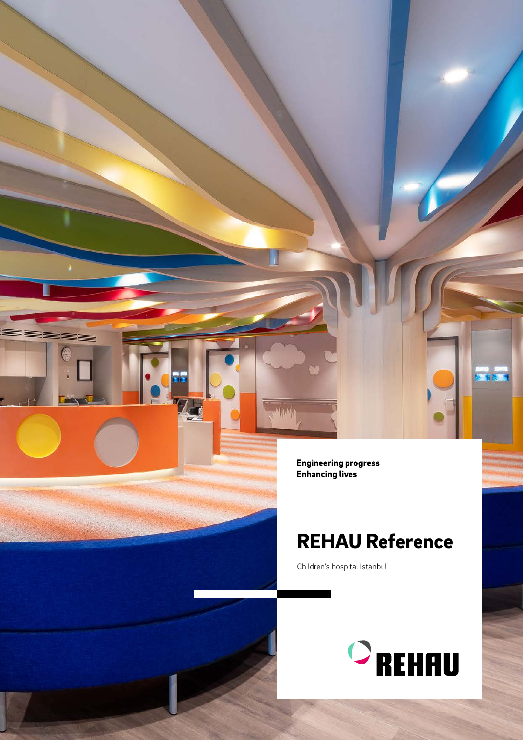**Engineering progress Enhancing lives** 

## REHAU Reference

Children's hospital Istanbul



经书面